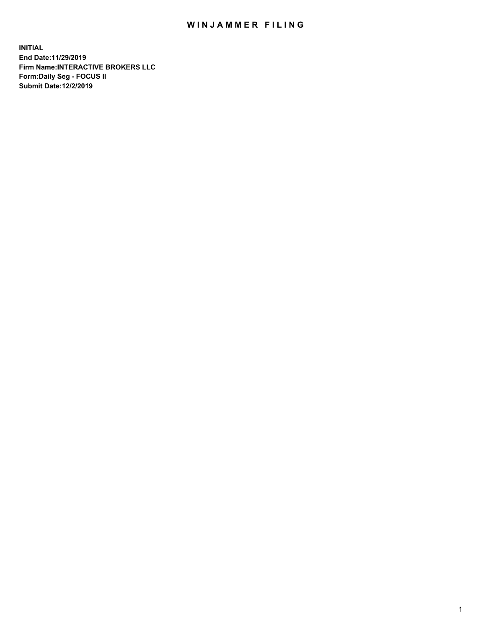## WIN JAMMER FILING

**INITIAL End Date:11/29/2019 Firm Name:INTERACTIVE BROKERS LLC Form:Daily Seg - FOCUS II Submit Date:12/2/2019**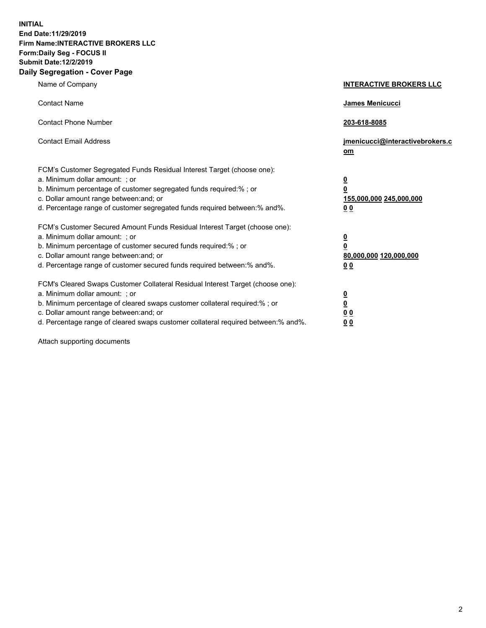**INITIAL End Date:11/29/2019 Firm Name:INTERACTIVE BROKERS LLC Form:Daily Seg - FOCUS II Submit Date:12/2/2019 Daily Segregation - Cover Page**

| Name of Company                                                                                                                                                                                                                                                                                                                | <b>INTERACTIVE BROKERS LLC</b>                                                                  |
|--------------------------------------------------------------------------------------------------------------------------------------------------------------------------------------------------------------------------------------------------------------------------------------------------------------------------------|-------------------------------------------------------------------------------------------------|
| <b>Contact Name</b>                                                                                                                                                                                                                                                                                                            | <b>James Menicucci</b>                                                                          |
| <b>Contact Phone Number</b>                                                                                                                                                                                                                                                                                                    | 203-618-8085                                                                                    |
| <b>Contact Email Address</b>                                                                                                                                                                                                                                                                                                   | jmenicucci@interactivebrokers.c<br>om                                                           |
| FCM's Customer Segregated Funds Residual Interest Target (choose one):<br>a. Minimum dollar amount: ; or<br>b. Minimum percentage of customer segregated funds required:% ; or<br>c. Dollar amount range between: and; or<br>d. Percentage range of customer segregated funds required between:% and%.                         | $\overline{\mathbf{0}}$<br>$\overline{\mathbf{0}}$<br>155,000,000 245,000,000<br>0 <sub>0</sub> |
| FCM's Customer Secured Amount Funds Residual Interest Target (choose one):<br>a. Minimum dollar amount: ; or<br>b. Minimum percentage of customer secured funds required:% ; or<br>c. Dollar amount range between: and; or<br>d. Percentage range of customer secured funds required between:% and%.                           | $\overline{\mathbf{0}}$<br>$\pmb{0}$<br>80,000,000 120,000,000<br>00                            |
| FCM's Cleared Swaps Customer Collateral Residual Interest Target (choose one):<br>a. Minimum dollar amount: ; or<br>b. Minimum percentage of cleared swaps customer collateral required:% ; or<br>c. Dollar amount range between: and; or<br>d. Percentage range of cleared swaps customer collateral required between:% and%. | $\overline{\mathbf{0}}$<br>$\underline{\mathbf{0}}$<br>0 <sub>0</sub><br>00                     |

Attach supporting documents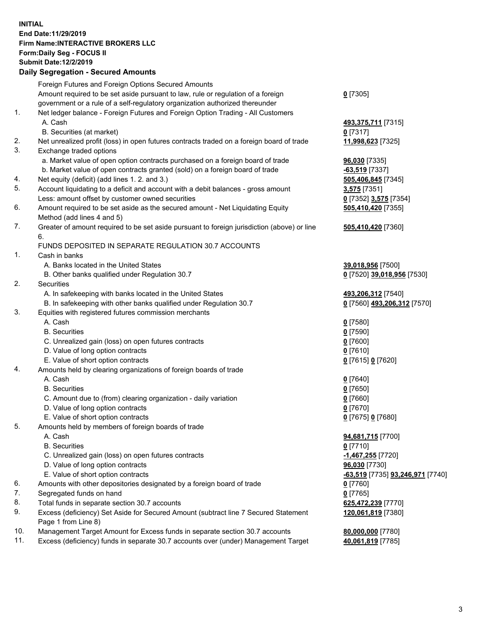## **INITIAL End Date:11/29/2019 Firm Name:INTERACTIVE BROKERS LLC Form:Daily Seg - FOCUS II Submit Date:12/2/2019 Daily Segregation - Secured Amounts**

| Daily Ocglegation - Occured Anioants                                                        |                                                                                                                                                                                                                                                                                                                                                                                                                                                                                                                                                                                                                                                                                                                                                                                                                                                                                                                                                                                                                                                                                                                                                                                                                                                                                                                                                       |
|---------------------------------------------------------------------------------------------|-------------------------------------------------------------------------------------------------------------------------------------------------------------------------------------------------------------------------------------------------------------------------------------------------------------------------------------------------------------------------------------------------------------------------------------------------------------------------------------------------------------------------------------------------------------------------------------------------------------------------------------------------------------------------------------------------------------------------------------------------------------------------------------------------------------------------------------------------------------------------------------------------------------------------------------------------------------------------------------------------------------------------------------------------------------------------------------------------------------------------------------------------------------------------------------------------------------------------------------------------------------------------------------------------------------------------------------------------------|
| Foreign Futures and Foreign Options Secured Amounts                                         |                                                                                                                                                                                                                                                                                                                                                                                                                                                                                                                                                                                                                                                                                                                                                                                                                                                                                                                                                                                                                                                                                                                                                                                                                                                                                                                                                       |
| Amount required to be set aside pursuant to law, rule or regulation of a foreign            | $0$ [7305]                                                                                                                                                                                                                                                                                                                                                                                                                                                                                                                                                                                                                                                                                                                                                                                                                                                                                                                                                                                                                                                                                                                                                                                                                                                                                                                                            |
| government or a rule of a self-regulatory organization authorized thereunder                |                                                                                                                                                                                                                                                                                                                                                                                                                                                                                                                                                                                                                                                                                                                                                                                                                                                                                                                                                                                                                                                                                                                                                                                                                                                                                                                                                       |
| Net ledger balance - Foreign Futures and Foreign Option Trading - All Customers             |                                                                                                                                                                                                                                                                                                                                                                                                                                                                                                                                                                                                                                                                                                                                                                                                                                                                                                                                                                                                                                                                                                                                                                                                                                                                                                                                                       |
| A. Cash                                                                                     | 493,375,711 [7315]                                                                                                                                                                                                                                                                                                                                                                                                                                                                                                                                                                                                                                                                                                                                                                                                                                                                                                                                                                                                                                                                                                                                                                                                                                                                                                                                    |
| B. Securities (at market)                                                                   | $0$ [7317]                                                                                                                                                                                                                                                                                                                                                                                                                                                                                                                                                                                                                                                                                                                                                                                                                                                                                                                                                                                                                                                                                                                                                                                                                                                                                                                                            |
| Net unrealized profit (loss) in open futures contracts traded on a foreign board of trade   | 11,998,623 [7325]                                                                                                                                                                                                                                                                                                                                                                                                                                                                                                                                                                                                                                                                                                                                                                                                                                                                                                                                                                                                                                                                                                                                                                                                                                                                                                                                     |
| Exchange traded options                                                                     |                                                                                                                                                                                                                                                                                                                                                                                                                                                                                                                                                                                                                                                                                                                                                                                                                                                                                                                                                                                                                                                                                                                                                                                                                                                                                                                                                       |
| a. Market value of open option contracts purchased on a foreign board of trade              | 96,030 [7335]                                                                                                                                                                                                                                                                                                                                                                                                                                                                                                                                                                                                                                                                                                                                                                                                                                                                                                                                                                                                                                                                                                                                                                                                                                                                                                                                         |
| b. Market value of open contracts granted (sold) on a foreign board of trade                | $-63,519$ [7337]                                                                                                                                                                                                                                                                                                                                                                                                                                                                                                                                                                                                                                                                                                                                                                                                                                                                                                                                                                                                                                                                                                                                                                                                                                                                                                                                      |
| Net equity (deficit) (add lines 1.2. and 3.)                                                | 505,406,845 [7345]                                                                                                                                                                                                                                                                                                                                                                                                                                                                                                                                                                                                                                                                                                                                                                                                                                                                                                                                                                                                                                                                                                                                                                                                                                                                                                                                    |
|                                                                                             | 3,575 [7351]                                                                                                                                                                                                                                                                                                                                                                                                                                                                                                                                                                                                                                                                                                                                                                                                                                                                                                                                                                                                                                                                                                                                                                                                                                                                                                                                          |
| Less: amount offset by customer owned securities                                            | 0 [7352] 3,575 [7354]                                                                                                                                                                                                                                                                                                                                                                                                                                                                                                                                                                                                                                                                                                                                                                                                                                                                                                                                                                                                                                                                                                                                                                                                                                                                                                                                 |
| Amount required to be set aside as the secured amount - Net Liquidating Equity              | 505,410,420 [7355]                                                                                                                                                                                                                                                                                                                                                                                                                                                                                                                                                                                                                                                                                                                                                                                                                                                                                                                                                                                                                                                                                                                                                                                                                                                                                                                                    |
| Method (add lines 4 and 5)                                                                  |                                                                                                                                                                                                                                                                                                                                                                                                                                                                                                                                                                                                                                                                                                                                                                                                                                                                                                                                                                                                                                                                                                                                                                                                                                                                                                                                                       |
| Greater of amount required to be set aside pursuant to foreign jurisdiction (above) or line | 505,410,420 [7360]                                                                                                                                                                                                                                                                                                                                                                                                                                                                                                                                                                                                                                                                                                                                                                                                                                                                                                                                                                                                                                                                                                                                                                                                                                                                                                                                    |
| 6.                                                                                          |                                                                                                                                                                                                                                                                                                                                                                                                                                                                                                                                                                                                                                                                                                                                                                                                                                                                                                                                                                                                                                                                                                                                                                                                                                                                                                                                                       |
| FUNDS DEPOSITED IN SEPARATE REGULATION 30.7 ACCOUNTS                                        |                                                                                                                                                                                                                                                                                                                                                                                                                                                                                                                                                                                                                                                                                                                                                                                                                                                                                                                                                                                                                                                                                                                                                                                                                                                                                                                                                       |
| Cash in banks                                                                               |                                                                                                                                                                                                                                                                                                                                                                                                                                                                                                                                                                                                                                                                                                                                                                                                                                                                                                                                                                                                                                                                                                                                                                                                                                                                                                                                                       |
| A. Banks located in the United States                                                       | 39,018,956 [7500]                                                                                                                                                                                                                                                                                                                                                                                                                                                                                                                                                                                                                                                                                                                                                                                                                                                                                                                                                                                                                                                                                                                                                                                                                                                                                                                                     |
| B. Other banks qualified under Regulation 30.7                                              | 0 [7520] 39,018,956 [7530]                                                                                                                                                                                                                                                                                                                                                                                                                                                                                                                                                                                                                                                                                                                                                                                                                                                                                                                                                                                                                                                                                                                                                                                                                                                                                                                            |
| Securities                                                                                  |                                                                                                                                                                                                                                                                                                                                                                                                                                                                                                                                                                                                                                                                                                                                                                                                                                                                                                                                                                                                                                                                                                                                                                                                                                                                                                                                                       |
|                                                                                             | 493,206,312 [7540]                                                                                                                                                                                                                                                                                                                                                                                                                                                                                                                                                                                                                                                                                                                                                                                                                                                                                                                                                                                                                                                                                                                                                                                                                                                                                                                                    |
|                                                                                             | 0 [7560] 493,206,312 [7570]                                                                                                                                                                                                                                                                                                                                                                                                                                                                                                                                                                                                                                                                                                                                                                                                                                                                                                                                                                                                                                                                                                                                                                                                                                                                                                                           |
|                                                                                             |                                                                                                                                                                                                                                                                                                                                                                                                                                                                                                                                                                                                                                                                                                                                                                                                                                                                                                                                                                                                                                                                                                                                                                                                                                                                                                                                                       |
|                                                                                             | $0$ [7580]                                                                                                                                                                                                                                                                                                                                                                                                                                                                                                                                                                                                                                                                                                                                                                                                                                                                                                                                                                                                                                                                                                                                                                                                                                                                                                                                            |
| <b>B.</b> Securities                                                                        | $0$ [7590]                                                                                                                                                                                                                                                                                                                                                                                                                                                                                                                                                                                                                                                                                                                                                                                                                                                                                                                                                                                                                                                                                                                                                                                                                                                                                                                                            |
|                                                                                             | $0$ [7600]                                                                                                                                                                                                                                                                                                                                                                                                                                                                                                                                                                                                                                                                                                                                                                                                                                                                                                                                                                                                                                                                                                                                                                                                                                                                                                                                            |
|                                                                                             | $0$ [7610]                                                                                                                                                                                                                                                                                                                                                                                                                                                                                                                                                                                                                                                                                                                                                                                                                                                                                                                                                                                                                                                                                                                                                                                                                                                                                                                                            |
|                                                                                             | 0 [7615] 0 [7620]                                                                                                                                                                                                                                                                                                                                                                                                                                                                                                                                                                                                                                                                                                                                                                                                                                                                                                                                                                                                                                                                                                                                                                                                                                                                                                                                     |
|                                                                                             |                                                                                                                                                                                                                                                                                                                                                                                                                                                                                                                                                                                                                                                                                                                                                                                                                                                                                                                                                                                                                                                                                                                                                                                                                                                                                                                                                       |
|                                                                                             | $0$ [7640]                                                                                                                                                                                                                                                                                                                                                                                                                                                                                                                                                                                                                                                                                                                                                                                                                                                                                                                                                                                                                                                                                                                                                                                                                                                                                                                                            |
|                                                                                             | $0$ [7650]                                                                                                                                                                                                                                                                                                                                                                                                                                                                                                                                                                                                                                                                                                                                                                                                                                                                                                                                                                                                                                                                                                                                                                                                                                                                                                                                            |
|                                                                                             | $0$ [7660]                                                                                                                                                                                                                                                                                                                                                                                                                                                                                                                                                                                                                                                                                                                                                                                                                                                                                                                                                                                                                                                                                                                                                                                                                                                                                                                                            |
|                                                                                             | $0$ [7670]                                                                                                                                                                                                                                                                                                                                                                                                                                                                                                                                                                                                                                                                                                                                                                                                                                                                                                                                                                                                                                                                                                                                                                                                                                                                                                                                            |
|                                                                                             | 0 [7675] 0 [7680]                                                                                                                                                                                                                                                                                                                                                                                                                                                                                                                                                                                                                                                                                                                                                                                                                                                                                                                                                                                                                                                                                                                                                                                                                                                                                                                                     |
|                                                                                             |                                                                                                                                                                                                                                                                                                                                                                                                                                                                                                                                                                                                                                                                                                                                                                                                                                                                                                                                                                                                                                                                                                                                                                                                                                                                                                                                                       |
|                                                                                             | 94,681,715 [7700]                                                                                                                                                                                                                                                                                                                                                                                                                                                                                                                                                                                                                                                                                                                                                                                                                                                                                                                                                                                                                                                                                                                                                                                                                                                                                                                                     |
|                                                                                             | $0$ [7710]                                                                                                                                                                                                                                                                                                                                                                                                                                                                                                                                                                                                                                                                                                                                                                                                                                                                                                                                                                                                                                                                                                                                                                                                                                                                                                                                            |
|                                                                                             | -1,467,255 [7720]                                                                                                                                                                                                                                                                                                                                                                                                                                                                                                                                                                                                                                                                                                                                                                                                                                                                                                                                                                                                                                                                                                                                                                                                                                                                                                                                     |
|                                                                                             | 96,030 [7730]                                                                                                                                                                                                                                                                                                                                                                                                                                                                                                                                                                                                                                                                                                                                                                                                                                                                                                                                                                                                                                                                                                                                                                                                                                                                                                                                         |
|                                                                                             | <u>-63,519</u> [7735] <u>93,246,971</u> [7740]                                                                                                                                                                                                                                                                                                                                                                                                                                                                                                                                                                                                                                                                                                                                                                                                                                                                                                                                                                                                                                                                                                                                                                                                                                                                                                        |
|                                                                                             | 0 [7760]                                                                                                                                                                                                                                                                                                                                                                                                                                                                                                                                                                                                                                                                                                                                                                                                                                                                                                                                                                                                                                                                                                                                                                                                                                                                                                                                              |
|                                                                                             | $0$ [7765]                                                                                                                                                                                                                                                                                                                                                                                                                                                                                                                                                                                                                                                                                                                                                                                                                                                                                                                                                                                                                                                                                                                                                                                                                                                                                                                                            |
|                                                                                             | 625,472,239 [7770]                                                                                                                                                                                                                                                                                                                                                                                                                                                                                                                                                                                                                                                                                                                                                                                                                                                                                                                                                                                                                                                                                                                                                                                                                                                                                                                                    |
|                                                                                             | 120,061,819 [7380]                                                                                                                                                                                                                                                                                                                                                                                                                                                                                                                                                                                                                                                                                                                                                                                                                                                                                                                                                                                                                                                                                                                                                                                                                                                                                                                                    |
|                                                                                             |                                                                                                                                                                                                                                                                                                                                                                                                                                                                                                                                                                                                                                                                                                                                                                                                                                                                                                                                                                                                                                                                                                                                                                                                                                                                                                                                                       |
|                                                                                             | 80,000,000 [7780]                                                                                                                                                                                                                                                                                                                                                                                                                                                                                                                                                                                                                                                                                                                                                                                                                                                                                                                                                                                                                                                                                                                                                                                                                                                                                                                                     |
|                                                                                             | 40,061,819 [7785]                                                                                                                                                                                                                                                                                                                                                                                                                                                                                                                                                                                                                                                                                                                                                                                                                                                                                                                                                                                                                                                                                                                                                                                                                                                                                                                                     |
|                                                                                             | Account liquidating to a deficit and account with a debit balances - gross amount<br>A. In safekeeping with banks located in the United States<br>B. In safekeeping with other banks qualified under Regulation 30.7<br>Equities with registered futures commission merchants<br>A. Cash<br>C. Unrealized gain (loss) on open futures contracts<br>D. Value of long option contracts<br>E. Value of short option contracts<br>Amounts held by clearing organizations of foreign boards of trade<br>A. Cash<br><b>B.</b> Securities<br>C. Amount due to (from) clearing organization - daily variation<br>D. Value of long option contracts<br>E. Value of short option contracts<br>Amounts held by members of foreign boards of trade<br>A. Cash<br><b>B.</b> Securities<br>C. Unrealized gain (loss) on open futures contracts<br>D. Value of long option contracts<br>E. Value of short option contracts<br>Amounts with other depositories designated by a foreign board of trade<br>Segregated funds on hand<br>Total funds in separate section 30.7 accounts<br>Excess (deficiency) Set Aside for Secured Amount (subtract line 7 Secured Statement<br>Page 1 from Line 8)<br>Management Target Amount for Excess funds in separate section 30.7 accounts<br>Excess (deficiency) funds in separate 30.7 accounts over (under) Management Target |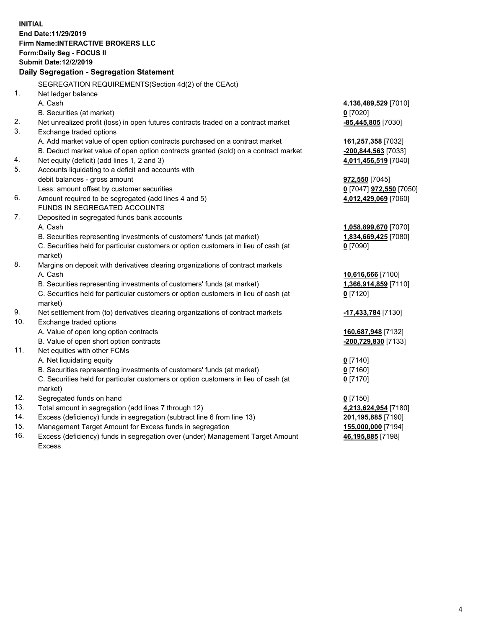**INITIAL End Date:11/29/2019 Firm Name:INTERACTIVE BROKERS LLC Form:Daily Seg - FOCUS II Submit Date:12/2/2019 Daily Segregation - Segregation Statement** SEGREGATION REQUIREMENTS(Section 4d(2) of the CEAct) 1. Net ledger balance A. Cash **4,136,489,529** [7010] B. Securities (at market) **0** [7020] 2. Net unrealized profit (loss) in open futures contracts traded on a contract market **-85,445,805** [7030] 3. Exchange traded options A. Add market value of open option contracts purchased on a contract market **161,257,358** [7032] B. Deduct market value of open option contracts granted (sold) on a contract market **-200,844,563** [7033] 4. Net equity (deficit) (add lines 1, 2 and 3) **4,011,456,519** [7040] 5. Accounts liquidating to a deficit and accounts with debit balances - gross amount **972,550** [7045] Less: amount offset by customer securities **0** [7047] **972,550** [7050] 6. Amount required to be segregated (add lines 4 and 5) **4,012,429,069** [7060] FUNDS IN SEGREGATED ACCOUNTS 7. Deposited in segregated funds bank accounts A. Cash **1,058,899,670** [7070] B. Securities representing investments of customers' funds (at market) **1,834,669,425** [7080] C. Securities held for particular customers or option customers in lieu of cash (at market) **0** [7090] 8. Margins on deposit with derivatives clearing organizations of contract markets A. Cash **10,616,666** [7100] B. Securities representing investments of customers' funds (at market) **1,366,914,859** [7110] C. Securities held for particular customers or option customers in lieu of cash (at market) **0** [7120] 9. Net settlement from (to) derivatives clearing organizations of contract markets **-17,433,784** [7130] 10. Exchange traded options A. Value of open long option contracts **160,687,948** [7132] B. Value of open short option contracts **-200,729,830** [7133] 11. Net equities with other FCMs A. Net liquidating equity **0** [7140] B. Securities representing investments of customers' funds (at market) **0** [7160] C. Securities held for particular customers or option customers in lieu of cash (at market) **0** [7170] 12. Segregated funds on hand **0** [7150] 13. Total amount in segregation (add lines 7 through 12) **4,213,624,954** [7180] 14. Excess (deficiency) funds in segregation (subtract line 6 from line 13) **201,195,885** [7190] 15. Management Target Amount for Excess funds in segregation **155,000,000** [7194] **46,195,885** [7198]

16. Excess (deficiency) funds in segregation over (under) Management Target Amount Excess